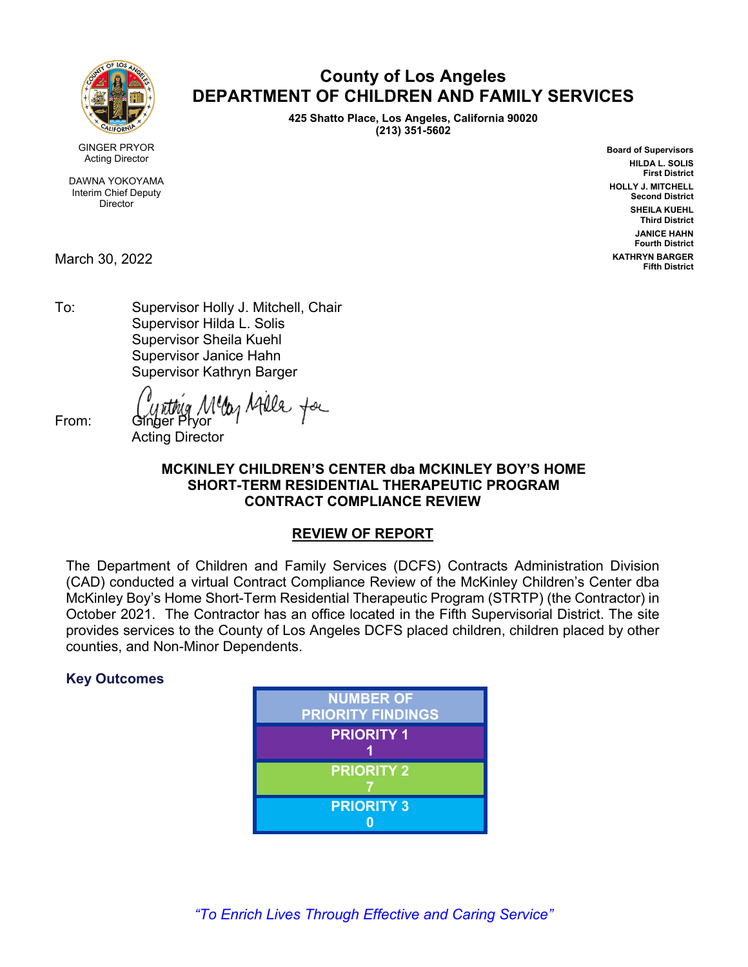

**County of Los Angeles DEPARTMENT OF CHILDREN AND FAMILY SERVICES** 

> **425 Shatto Place, Los Angeles, California 90020 (213) 351-5602**

> > **Board of Supervisors HILDA L. SOLIS First District HOLLY J. MITCHELL Second District SHEILA KUEHL Third District JANICE HAHN Fourth District KATHRYN BARGER Fifth District**

GINGER PRYOR Acting Director

DAWNA YOKOYAMA Interim Chief Deputy Director

March 30, 2022

To: Supervisor Holly J. Mitchell, Chair Supervisor Hilda L. Solis Supervisor Sheila Kuehl Supervisor Janice Hahn Supervisor Kathryn Barger

From: *Cynthig Mella Afella* for

Acting Director

# **MCKINLEY CHILDREN'S CENTER dba MCKINLEY BOY'S HOME SHORT-TERM RESIDENTIAL THERAPEUTIC PROGRAM CONTRACT COMPLIANCE REVIEW**

# **REVIEW OF REPORT**

The Department of Children and Family Services (DCFS) Contracts Administration Division (CAD) conducted a virtual Contract Compliance Review of the McKinley Children's Center dba McKinley Boy's Home Short-Term Residential Therapeutic Program (STRTP) (the Contractor) in October 2021. The Contractor has an office located in the Fifth Supervisorial District. The site provides services to the County of Los Angeles DCFS placed children, children placed by other counties, and Non-Minor Dependents.

# **Key Outcomes**

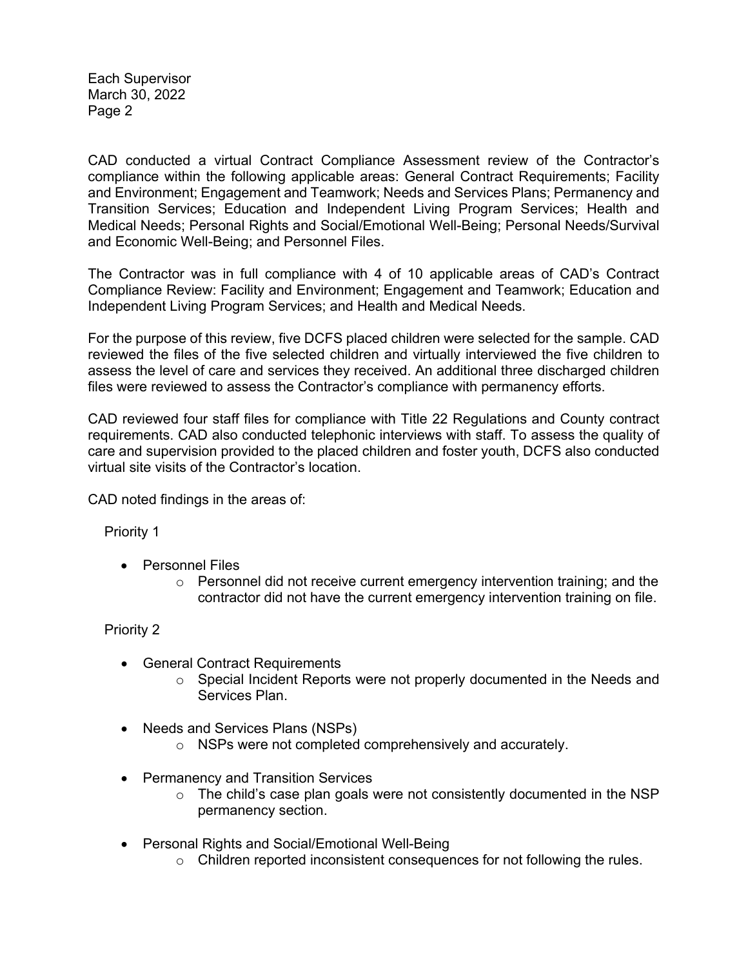Each Supervisor March 30, 2022 Page 2

CAD conducted a virtual Contract Compliance Assessment review of the Contractor's compliance within the following applicable areas: General Contract Requirements; Facility and Environment; Engagement and Teamwork; Needs and Services Plans; Permanency and Transition Services; Education and Independent Living Program Services; Health and Medical Needs; Personal Rights and Social/Emotional Well-Being; Personal Needs/Survival and Economic Well-Being; and Personnel Files.

The Contractor was in full compliance with 4 of 10 applicable areas of CAD's Contract Compliance Review: Facility and Environment; Engagement and Teamwork; Education and Independent Living Program Services; and Health and Medical Needs.

For the purpose of this review, five DCFS placed children were selected for the sample. CAD reviewed the files of the five selected children and virtually interviewed the five children to assess the level of care and services they received. An additional three discharged children files were reviewed to assess the Contractor's compliance with permanency efforts.

CAD reviewed four staff files for compliance with Title 22 Regulations and County contract requirements. CAD also conducted telephonic interviews with staff. To assess the quality of care and supervision provided to the placed children and foster youth, DCFS also conducted virtual site visits of the Contractor's location.

CAD noted findings in the areas of:

Priority 1

- Personnel Files
	- $\circ$  Personnel did not receive current emergency intervention training; and the contractor did not have the current emergency intervention training on file.

Priority 2

- General Contract Requirements
	- $\circ$  Special Incident Reports were not properly documented in the Needs and Services Plan.
- Needs and Services Plans (NSPs)
	- o NSPs were not completed comprehensively and accurately.
- Permanency and Transition Services
	- $\circ$  The child's case plan goals were not consistently documented in the NSP permanency section.
- Personal Rights and Social/Emotional Well-Being
	- o Children reported inconsistent consequences for not following the rules.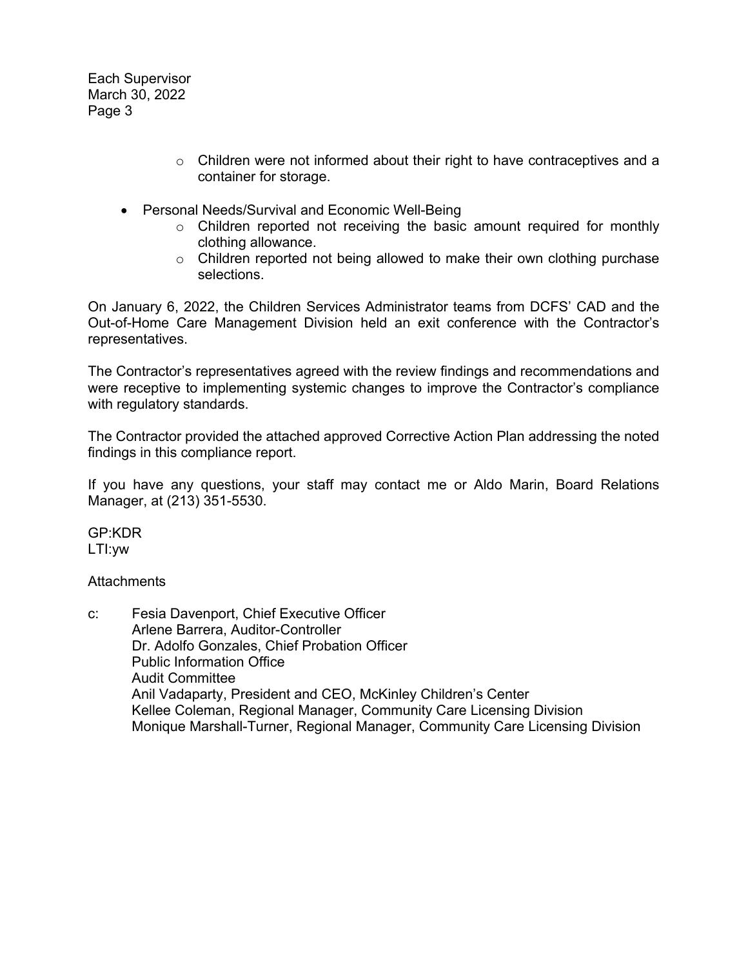Each Supervisor March 30, 2022 Page 3

- o Children were not informed about their right to have contraceptives and a container for storage.
- Personal Needs/Survival and Economic Well-Being
	- o Children reported not receiving the basic amount required for monthly clothing allowance.
	- $\circ$  Children reported not being allowed to make their own clothing purchase selections.

On January 6, 2022, the Children Services Administrator teams from DCFS' CAD and the Out-of-Home Care Management Division held an exit conference with the Contractor's representatives.

The Contractor's representatives agreed with the review findings and recommendations and were receptive to implementing systemic changes to improve the Contractor's compliance with regulatory standards.

The Contractor provided the attached approved Corrective Action Plan addressing the noted findings in this compliance report.

If you have any questions, your staff may contact me or Aldo Marin, Board Relations Manager, at (213) 351-5530.

GP:KDR LTI:yw

**Attachments** 

c: Fesia Davenport, Chief Executive Officer Arlene Barrera, Auditor-Controller Dr. Adolfo Gonzales, Chief Probation Officer Public Information Office Audit Committee Anil Vadaparty, President and CEO, McKinley Children's Center Kellee Coleman, Regional Manager, Community Care Licensing Division Monique Marshall-Turner, Regional Manager, Community Care Licensing Division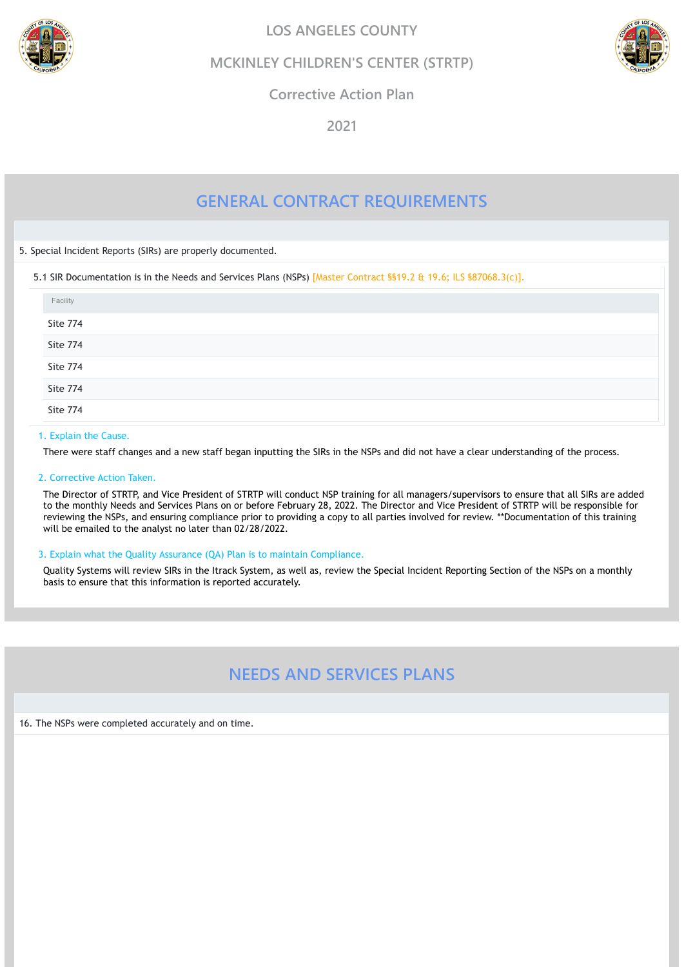# **GENERAL CONTRACT REQUIREMENTS**

5. Special Incident Reports (SIRs) are properly documented.

5.1 SIR Documentation is in the Needs and Services Plans (NSPs) [Master Contract §§19.2 & 19.6; ILS §87068.3(c)].

# 1. Explain the Cause.

There were staff changes and a new staff began inputting the SIRs in the NSPs and did not have a clear understanding of the process.

# 2. Corrective Action Taken.

The Director of STRTP, and Vice President of STRTP will conduct NSP training for all managers/supervisors to ensure that all SIRs are added to the monthly Needs and Services Plans on or before February 28, 2022. The Director and Vice President of STRTP will be responsible for reviewing the NSPs, and ensuring compliance prior to providing a copy to all parties involved for review. \*\*Documentation of this training will be emailed to the analyst no later than 02/28/2022.

| Facility |  |  |  |
|----------|--|--|--|
| Site 774 |  |  |  |
| Site 774 |  |  |  |
| Site 774 |  |  |  |
| Site 774 |  |  |  |
| Site 774 |  |  |  |

# 3. Explain what the Quality Assurance (QA) Plan is to maintain Compliance.

Quality Systems will review SIRs in the Itrack System, as well as, review the Special Incident Reporting Section of the NSPs on a monthly basis to ensure that this information is reported accurately.

# **NEEDS AND SERVICES PLANS**

16. The NSPs were completed accurately and on time.





**LOS ANGELES COUNTY**

**MCKINLEY CHILDREN'S CENTER (STRTP)**



**Corrective Action Plan**

**2021**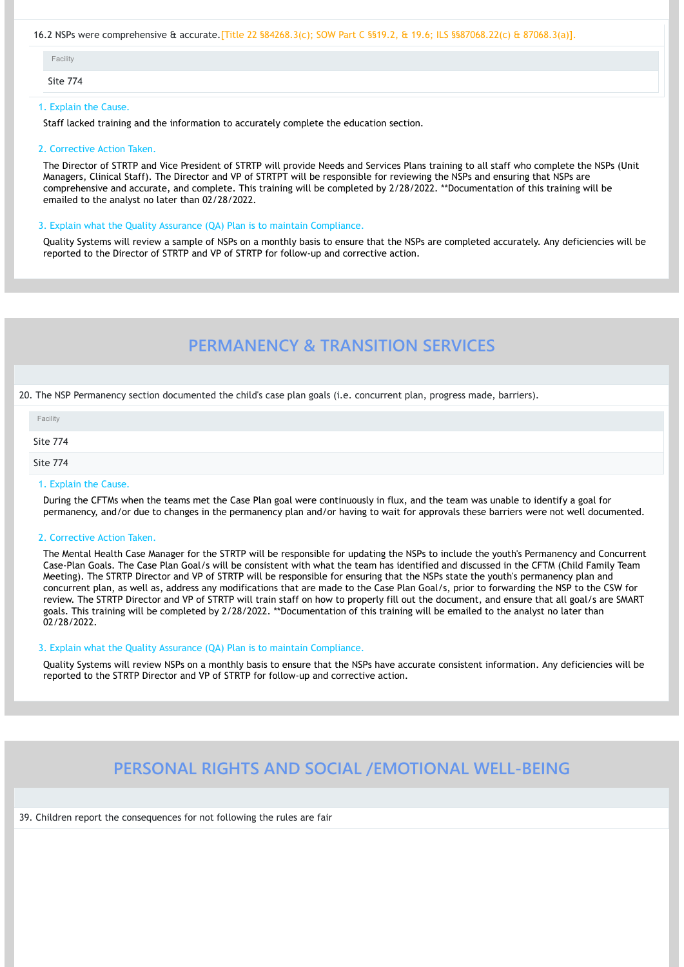# 16.2 NSPs were comprehensive & accurate.[Title 22 §84268.3(c); SOW Part C §§19.2, & 19.6; ILS §§87068.22(c) & 87068.3(a)].

Site 774

# 1. Explain the Cause.

Staff lacked training and the information to accurately complete the education section.

# 2. Corrective Action Taken.

The Director of STRTP and Vice President of STRTP will provide Needs and Services Plans training to all staff who complete the NSPs (Unit Managers, Clinical Staff). The Director and VP of STRTPT will be responsible for reviewing the NSPs and ensuring that NSPs are comprehensive and accurate, and complete. This training will be completed by 2/28/2022. \*\*Documentation of this training will be emailed to the analyst no later than 02/28/2022.

# 3. Explain what the Quality Assurance (QA) Plan is to maintain Compliance.

Quality Systems will review a sample of NSPs on a monthly basis to ensure that the NSPs are completed accurately. Any deficiencies will be reported to the Director of STRTP and VP of STRTP for follow-up and corrective action.

# **PERMANENCY & TRANSITION SERVICES**

20. The NSP Permanency section documented the child's case plan goals (i.e. concurrent plan, progress made, barriers).

# 1. Explain the Cause.

During the CFTMs when the teams met the Case Plan goal were continuously in flux, and the team was unable to identify a goal for permanency, and/or due to changes in the permanency plan and/or having to wait for approvals these barriers were not well documented.

# 2. Corrective Action Taken.

The Mental Health Case Manager for the STRTP will be responsible for updating the NSPs to include the youth's Permanency and Concurrent Case-Plan Goals. The Case Plan Goal/s will be consistent with what the team has identified and discussed in the CFTM (Child Family Team Meeting). The STRTP Director and VP of STRTP will be responsible for ensuring that the NSPs state the youth's permanency plan and concurrent plan, as well as, address any modifications that are made to the Case Plan Goal/s, prior to forwarding the NSP to the CSW for review. The STRTP Director and VP of STRTP will train staff on how to properly fill out the document, and ensure that all goal/s are SMART goals. This training will be completed by 2/28/2022. \*\*Documentation of this training will be emailed to the analyst no later than 02/28/2022.

| Facility        |  |
|-----------------|--|
| <b>Site 774</b> |  |
| Site 774        |  |

# 3. Explain what the Quality Assurance (QA) Plan is to maintain Compliance.

Quality Systems will review NSPs on a monthly basis to ensure that the NSPs have accurate consistent information. Any deficiencies will be reported to the STRTP Director and VP of STRTP for follow-up and corrective action.

# **PERSONAL RIGHTS AND SOCIAL /EMOTIONAL WELL-BEING**

39. Children report the consequences for not following the rules are fair

| acility |
|---------|
|---------|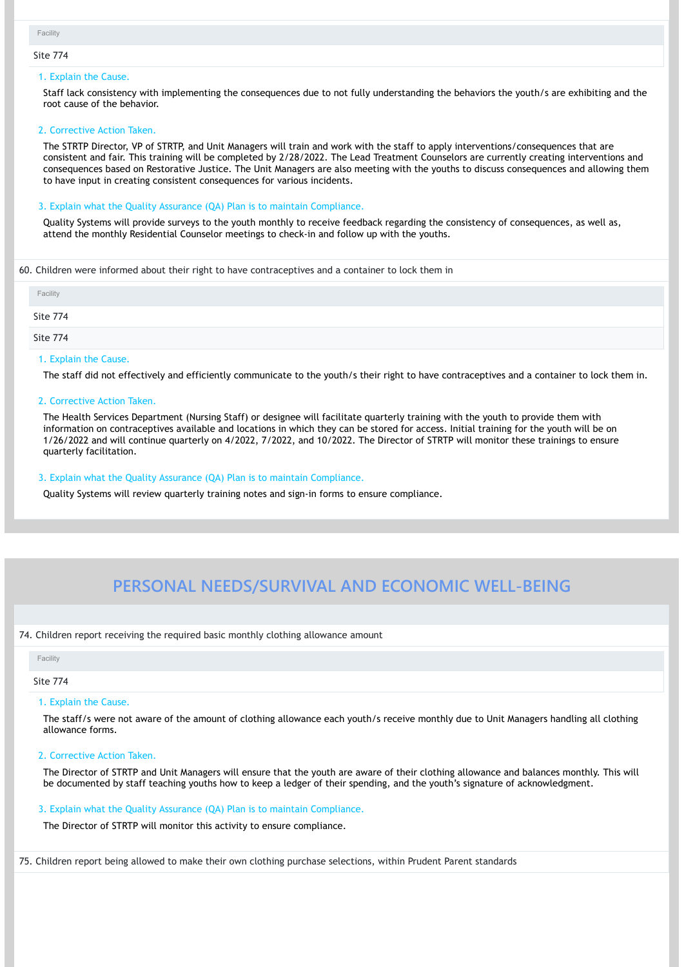#### Site 774

#### 1. Explain the Cause.

Staff lack consistency with implementing the consequences due to not fully understanding the behaviors the youth/s are exhibiting and the root cause of the behavior.

#### 2. Corrective Action Taken.

The STRTP Director, VP of STRTP, and Unit Managers will train and work with the staff to apply interventions/consequences that are consistent and fair. This training will be completed by 2/28/2022. The Lead Treatment Counselors are currently creating interventions and consequences based on Restorative Justice. The Unit Managers are also meeting with the youths to discuss consequences and allowing them to have input in creating consistent consequences for various incidents.

#### 3. Explain what the Quality Assurance (QA) Plan is to maintain Compliance.

Quality Systems will provide surveys to the youth monthly to receive feedback regarding the consistency of consequences, as well as, attend the monthly Residential Counselor meetings to check-in and follow up with the youths.

#### 60. Children were informed about their right to have contraceptives and a container to lock them in

#### 1. Explain the Cause.

The staff did not effectively and efficiently communicate to the youth/s their right to have contraceptives and a container to lock them in.

# 2. Corrective Action Taken.

The Health Services Department (Nursing Staff) or designee will facilitate quarterly training with the youth to provide them with information on contraceptives available and locations in which they can be stored for access. Initial training for the youth will be on 1/26/2022 and will continue quarterly on 4/2022, 7/2022, and 10/2022. The Director of STRTP will monitor these trainings to ensure quarterly facilitation.

# 3. Explain what the Quality Assurance (QA) Plan is to maintain Compliance.

Quality Systems will review quarterly training notes and sign-in forms to ensure compliance.

# **PERSONAL NEEDS/SURVIVAL AND ECONOMIC WELL-BEING**

| Facility |  |  |
|----------|--|--|
| Site 774 |  |  |
| Site 774 |  |  |

#### 74. Children report receiving the required basic monthly clothing allowance amount

#### Site 774

#### 1. Explain the Cause.

The staff/s were not aware of the amount of clothing allowance each youth/s receive monthly due to Unit Managers handling all clothing

allowance forms.

# 2. Corrective Action Taken.

The Director of STRTP and Unit Managers will ensure that the youth are aware of their clothing allowance and balances monthly. This will be documented by staff teaching youths how to keep a ledger of their spending, and the youth's signature of acknowledgment.

# 3. Explain what the Quality Assurance (QA) Plan is to maintain Compliance.

The Director of STRTP will monitor this activity to ensure compliance.

75. Children report being allowed to make their own clothing purchase selections, within Prudent Parent standards

#### Facility